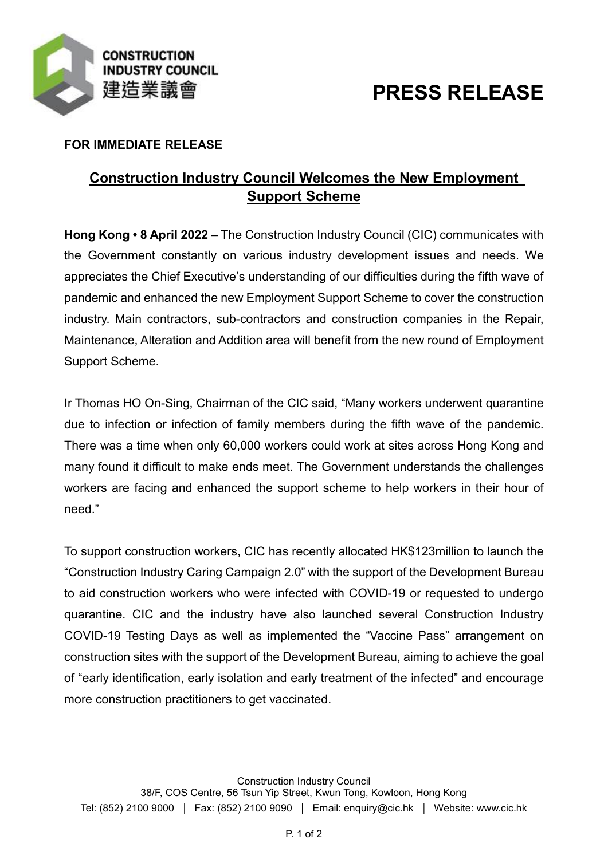

# **PRESS RELEASE**

## **FOR IMMEDIATE RELEASE**

## **Construction Industry Council Welcomes the New Employment Support Scheme**

**Hong Kong • 8 April 2022** – The Construction Industry Council (CIC) communicates with the Government constantly on various industry development issues and needs. We appreciates the Chief Executive's understanding of our difficulties during the fifth wave of pandemic and enhanced the new Employment Support Scheme to cover the construction industry. Main contractors, sub-contractors and construction companies in the Repair, Maintenance, Alteration and Addition area will benefit from the new round of Employment Support Scheme.

Ir Thomas HO On-Sing, Chairman of the CIC said, "Many workers underwent quarantine due to infection or infection of family members during the fifth wave of the pandemic. There was a time when only 60,000 workers could work at sites across Hong Kong and many found it difficult to make ends meet. The Government understands the challenges workers are facing and enhanced the support scheme to help workers in their hour of need."

To support construction workers, CIC has recently allocated HK\$123million to launch the "Construction Industry Caring Campaign 2.0" with the support of the Development Bureau to aid construction workers who were infected with COVID-19 or requested to undergo quarantine. CIC and the industry have also launched several Construction Industry COVID-19 Testing Days as well as implemented the "Vaccine Pass" arrangement on construction sites with the support of the Development Bureau, aiming to achieve the goal of "early identification, early isolation and early treatment of the infected" and encourage more construction practitioners to get vaccinated.